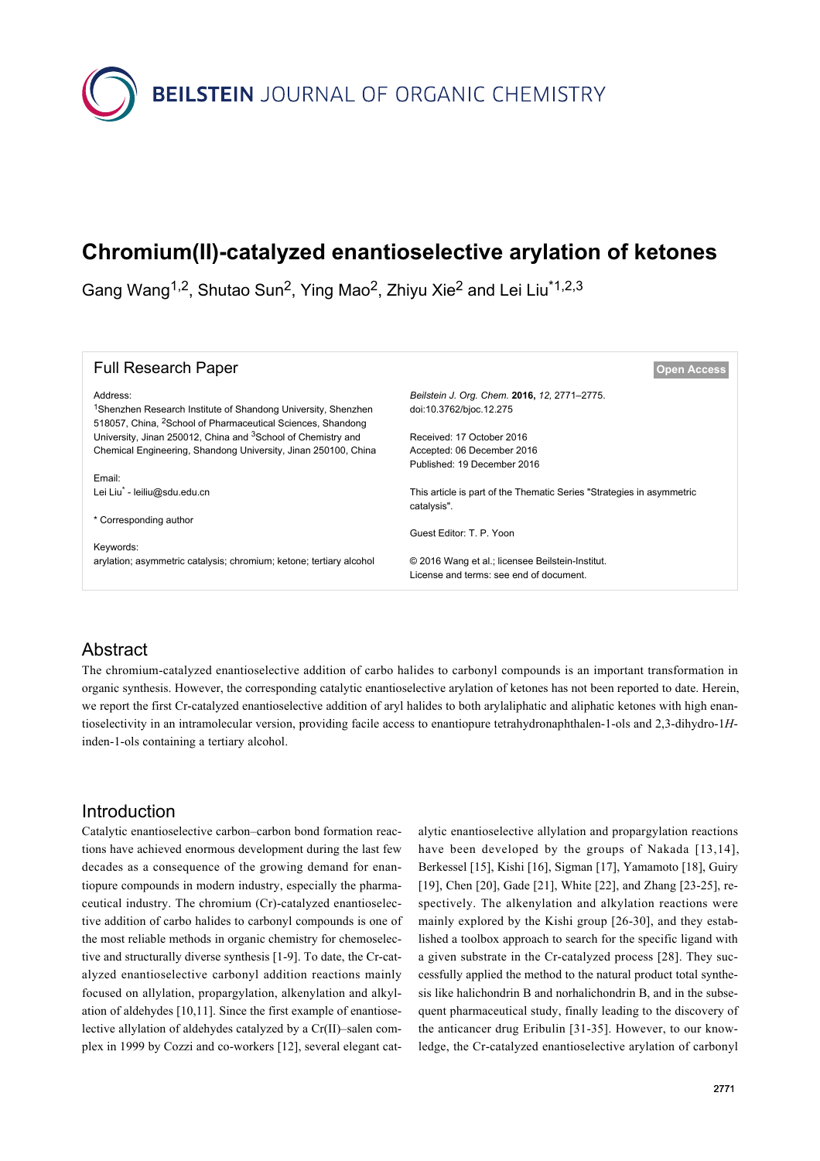

# **Chromium(II)-catalyzed enantioselective arylation of ketones**

Gang Wang<sup>1,2</sup>, Shutao Sun<sup>2</sup>, Ying Mao<sup>2</sup>, Zhiyu Xie<sup>2</sup> and Lei Liu<sup>\*1,2,3</sup>

| <b>Full Research Paper</b>                                                                                                                                       | <b>Open Access</b>                                                                          |
|------------------------------------------------------------------------------------------------------------------------------------------------------------------|---------------------------------------------------------------------------------------------|
| Address:<br><sup>1</sup> Shenzhen Research Institute of Shandong University, Shenzhen<br>518057, China, <sup>2</sup> School of Pharmaceutical Sciences, Shandong | Beilstein J. Org. Chem. 2016, 12, 2771-2775.<br>doi:10.3762/bjoc.12.275                     |
| University, Jinan 250012, China and <sup>3</sup> School of Chemistry and                                                                                         | Received: 17 October 2016                                                                   |
| Chemical Engineering, Shandong University, Jinan 250100, China                                                                                                   | Accepted: 06 December 2016                                                                  |
|                                                                                                                                                                  | Published: 19 December 2016                                                                 |
| Email:                                                                                                                                                           |                                                                                             |
| Lei Liu <sup>7</sup> - leiliu@sdu.edu.cn                                                                                                                         | This article is part of the Thematic Series "Strategies in asymmetric<br>catalysis".        |
| * Corresponding author                                                                                                                                           |                                                                                             |
|                                                                                                                                                                  | Guest Editor: T. P. Yoon                                                                    |
| Keywords:                                                                                                                                                        |                                                                                             |
| arylation; asymmetric catalysis; chromium; ketone; tertiary alcohol                                                                                              | © 2016 Wang et al.; licensee Beilstein-Institut.<br>License and terms: see end of document. |

# Abstract

The chromium-catalyzed enantioselective addition of carbo halides to carbonyl compounds is an important transformation in organic synthesis. However, the corresponding catalytic enantioselective arylation of ketones has not been reported to date. Herein, we report the first Cr-catalyzed enantioselective addition of aryl halides to both arylaliphatic and aliphatic ketones with high enantioselectivity in an intramolecular version, providing facile access to enantiopure tetrahydronaphthalen-1-ols and 2,3-dihydro-1*H*inden-1-ols containing a tertiary alcohol.

# Introduction

Catalytic enantioselective carbon–carbon bond formation reactions have achieved enormous development during the last few decades as a consequence of the growing demand for enantiopure compounds in modern industry, especially the pharmaceutical industry. The chromium (Cr)-catalyzed enantioselective addition of carbo halides to carbonyl compounds is one of the most reliable methods in organic chemistry for chemoselective and structurally diverse synthesis [\[1-9\]](#page-3-0). To date, the Cr-catalyzed enantioselective carbonyl addition reactions mainly focused on allylation, propargylation, alkenylation and alkylation of aldehydes [\[10,11\]](#page-3-1). Since the first example of enantioselective allylation of aldehydes catalyzed by a Cr(II)–salen complex in 1999 by Cozzi and co-workers [\[12\]](#page-3-2), several elegant cat-

alytic enantioselective allylation and propargylation reactions have been developed by the groups of Nakada [\[13,14\]](#page-3-3), Berkessel [\[15\]](#page-3-4), Kishi [\[16\],](#page-3-5) Sigman [\[17\],](#page-3-6) Yamamoto [\[18\],](#page-3-7) Guiry [\[19\],](#page-3-8) Chen [\[20\]](#page-3-9), Gade [\[21\]](#page-3-10), White [\[22\]](#page-4-0), and Zhang [\[23-25\],](#page-4-1) respectively. The alkenylation and alkylation reactions were mainly explored by the Kishi group [\[26-30\]](#page-4-2), and they established a toolbox approach to search for the specific ligand with a given substrate in the Cr-catalyzed process [\[28\].](#page-4-3) They successfully applied the method to the natural product total synthesis like halichondrin B and norhalichondrin B, and in the subsequent pharmaceutical study, finally leading to the discovery of the anticancer drug Eribulin [\[31-35\]](#page-4-4). However, to our knowledge, the Cr-catalyzed enantioselective arylation of carbonyl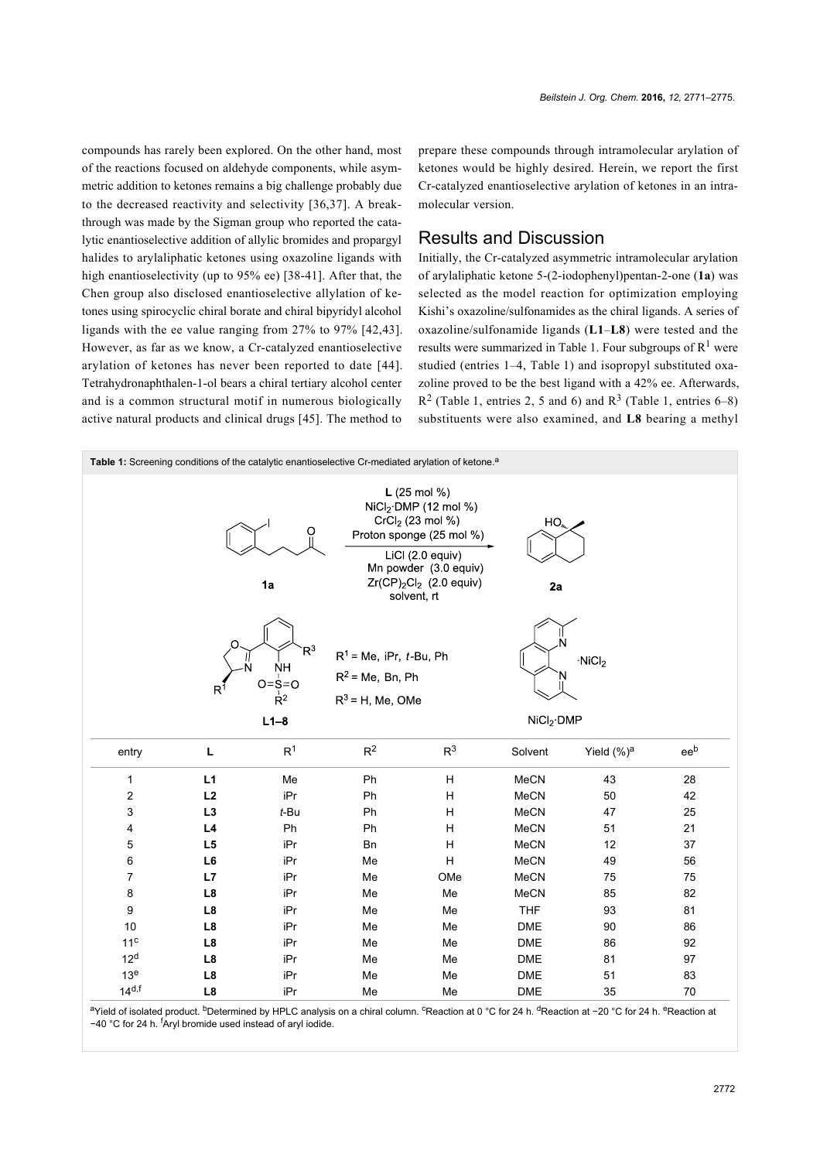compounds has rarely been explored. On the other hand, most of the reactions focused on aldehyde components, while asymmetric addition to ketones remains a big challenge probably due to the decreased reactivity and selectivity [\[36,37\].](#page-4-5) A breakthrough was made by the Sigman group who reported the catalytic enantioselective addition of allylic bromides and propargyl halides to arylaliphatic ketones using oxazoline ligands with high enantioselectivity (up to 95% ee) [\[38-41\].](#page-4-6) After that, the Chen group also disclosed enantioselective allylation of ketones using spirocyclic chiral borate and chiral bipyridyl alcohol ligands with the ee value ranging from 27% to 97% [\[42,43\]](#page-4-7). However, as far as we know, a Cr-catalyzed enantioselective arylation of ketones has never been reported to date [\[44\]](#page-4-8). Tetrahydronaphthalen-1-ol bears a chiral tertiary alcohol center and is a common structural motif in numerous biologically active natural products and clinical drugs [\[45\].](#page-4-9) The method to

prepare these compounds through intramolecular arylation of ketones would be highly desired. Herein, we report the first Cr-catalyzed enantioselective arylation of ketones in an intramolecular version.

## Results and Discussion

Initially, the Cr-catalyzed asymmetric intramolecular arylation of arylaliphatic ketone 5-(2-iodophenyl)pentan-2-one (**1a**) was selected as the model reaction for optimization employing Kishi's oxazoline/sulfonamides as the chiral ligands. A series of oxazoline/sulfonamide ligands (**L1**–**L8**) were tested and the results were summarized in [Table 1.](#page-1-0) Four subgroups of  $R<sup>1</sup>$  were studied (entries 1–4, [Table 1](#page-1-0)) and isopropyl substituted oxazoline proved to be the best ligand with a 42% ee. Afterwards,  $R<sup>2</sup>$  [\(Table 1,](#page-1-0) entries 2, 5 and 6) and  $R<sup>3</sup>$  [\(Table 1](#page-1-0), entries 6–8) substituents were also examined, and **L8** bearing a methyl

<span id="page-1-0"></span>

| Table 1: Screening conditions of the catalytic enantioselective Cr-mediated arylation of ketone. <sup>a</sup>                                                                                                                     |                |                                                      |                                                                       |                |             |                                          |     |  |  |
|-----------------------------------------------------------------------------------------------------------------------------------------------------------------------------------------------------------------------------------|----------------|------------------------------------------------------|-----------------------------------------------------------------------|----------------|-------------|------------------------------------------|-----|--|--|
| $L(25 \text{ mol } % )$<br>$NiCl2$ DMP (12 mol %)<br>$CrCl2$ (23 mol %)<br>$HO_{\omega}$<br>O<br>Proton sponge (25 mol %)<br>$Lici$ (2.0 equiv)<br>Mn powder (3.0 equiv)<br>$Zr(CP)_2Cl_2$ (2.0 equiv)<br>1a<br>2a<br>solvent, rt |                |                                                      |                                                                       |                |             |                                          |     |  |  |
|                                                                                                                                                                                                                                   | $R^1$          | $R^3$<br><b>NH</b><br>$O = S = O$<br>$R^2$<br>$L1-8$ | $R^1$ = Me, iPr, t-Bu, Ph<br>$R^2$ = Me, Bn, Ph<br>$R^3$ = H, Me, OMe |                |             | $\cdot$ NiCl <sub>2</sub><br>$NiCl2$ DMP |     |  |  |
| entry                                                                                                                                                                                                                             | $\mathsf L$    | R <sup>1</sup>                                       | $R^2$                                                                 | R <sup>3</sup> | Solvent     | Yield $(\%)^a$                           | eeb |  |  |
| 1                                                                                                                                                                                                                                 | L1             | Me                                                   | Ph                                                                    | н              | <b>MeCN</b> | 43                                       | 28  |  |  |
| $\mathbf 2$                                                                                                                                                                                                                       | L2             | iPr                                                  | Ph                                                                    | Н              | <b>MeCN</b> | 50                                       | 42  |  |  |
| 3                                                                                                                                                                                                                                 | L <sub>3</sub> | $t$ -Bu                                              | Ph                                                                    | Н              | <b>MeCN</b> | 47                                       | 25  |  |  |
| 4                                                                                                                                                                                                                                 | L4             | Ph                                                   | Ph                                                                    | H              | <b>MeCN</b> | 51                                       | 21  |  |  |
| 5                                                                                                                                                                                                                                 | L <sub>5</sub> | iPr                                                  | <b>Bn</b>                                                             | $\overline{H}$ | MeCN        | 12                                       | 37  |  |  |
| 6                                                                                                                                                                                                                                 | L6             | iPr                                                  | Me                                                                    | H              | <b>MeCN</b> | 49                                       | 56  |  |  |
| 7                                                                                                                                                                                                                                 | L7             | iPr                                                  | Me                                                                    | OMe            | MeCN        | 75                                       | 75  |  |  |
| 8                                                                                                                                                                                                                                 | L8             | iPr                                                  | Me                                                                    | Me             | MeCN        | 85                                       | 82  |  |  |
| 9                                                                                                                                                                                                                                 | L8             | iPr                                                  | Me                                                                    | Me             | <b>THF</b>  | 93                                       | 81  |  |  |
| 10                                                                                                                                                                                                                                | L8             | iPr                                                  | Me                                                                    | Me             | <b>DME</b>  | 90                                       | 86  |  |  |
| 11 <sup>c</sup>                                                                                                                                                                                                                   | L8             | iPr                                                  | Me                                                                    | Me             | DME         | 86                                       | 92  |  |  |
| 12 <sup>d</sup>                                                                                                                                                                                                                   | L8             | iPr                                                  | Me                                                                    | Me             | DME         | 81                                       | 97  |  |  |
| 13 <sup>e</sup>                                                                                                                                                                                                                   | L8             | iPr                                                  | Me                                                                    | Me             | DME         | 51                                       | 83  |  |  |
| $14^{d,f}$                                                                                                                                                                                                                        | L8             | iPr                                                  | Me                                                                    | Me             | <b>DME</b>  | 35                                       | 70  |  |  |
|                                                                                                                                                                                                                                   |                |                                                      |                                                                       |                |             |                                          |     |  |  |

aYield of isolated product. <sup>b</sup>Determined by HPLC analysis on a chiral column. <sup>c</sup>Reaction at 0 °C for 24 h. <sup>d</sup>Reaction at −20 °C for 24 h. <sup>e</sup>Reaction at −40 °C for 24 h. fAryl bromide used instead of aryl iodide.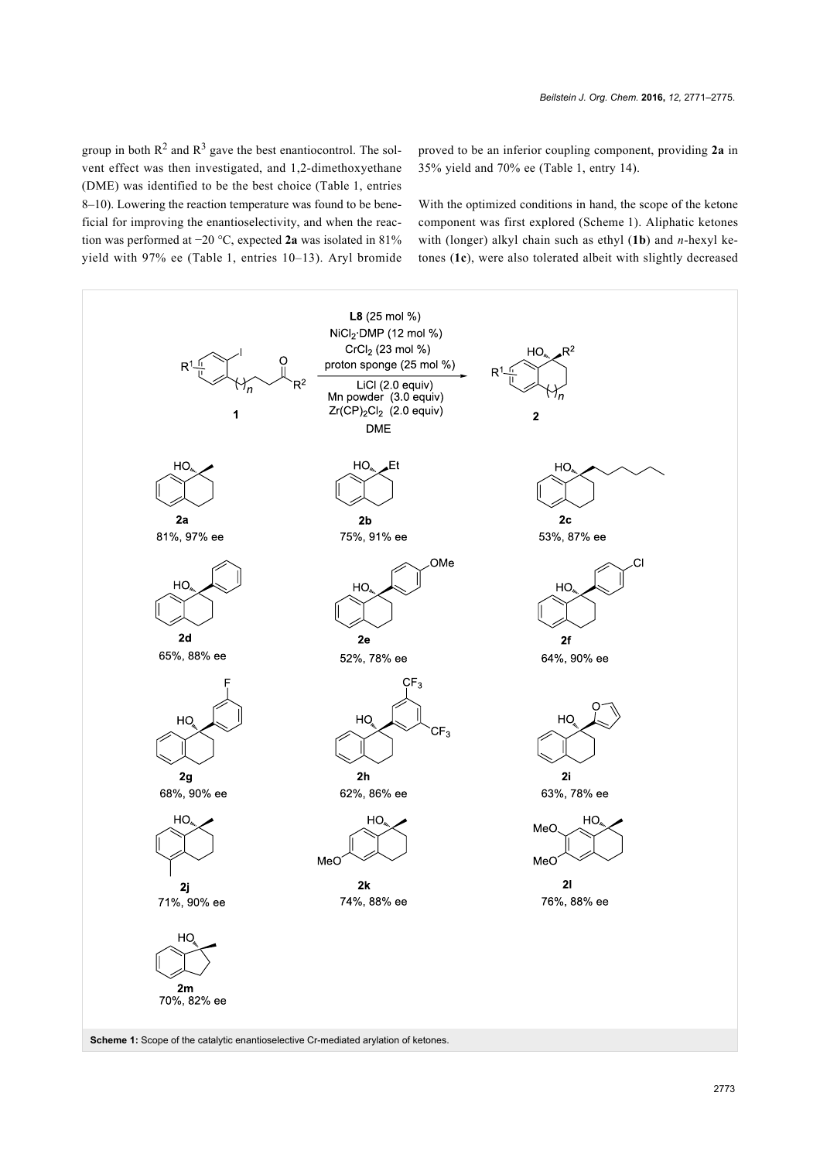group in both  $\mathbb{R}^2$  and  $\mathbb{R}^3$  gave the best enantiocontrol. The solvent effect was then investigated, and 1,2-dimethoxyethane (DME) was identified to be the best choice [\(Table 1,](#page-1-0) entries 8–10). Lowering the reaction temperature was found to be beneficial for improving the enantioselectivity, and when the reaction was performed at −20 °C, expected **2a** was isolated in 81% yield with 97% ee ([Table 1](#page-1-0), entries 10–13). Aryl bromide proved to be an inferior coupling component, providing **2a** in 35% yield and 70% ee [\(Table 1](#page-1-0), entry 14).

With the optimized conditions in hand, the scope of the ketone component was first explored [\(Scheme 1](#page-2-0)). Aliphatic ketones with (longer) alkyl chain such as ethyl (**1b**) and *n*-hexyl ketones (**1c**), were also tolerated albeit with slightly decreased

<span id="page-2-0"></span>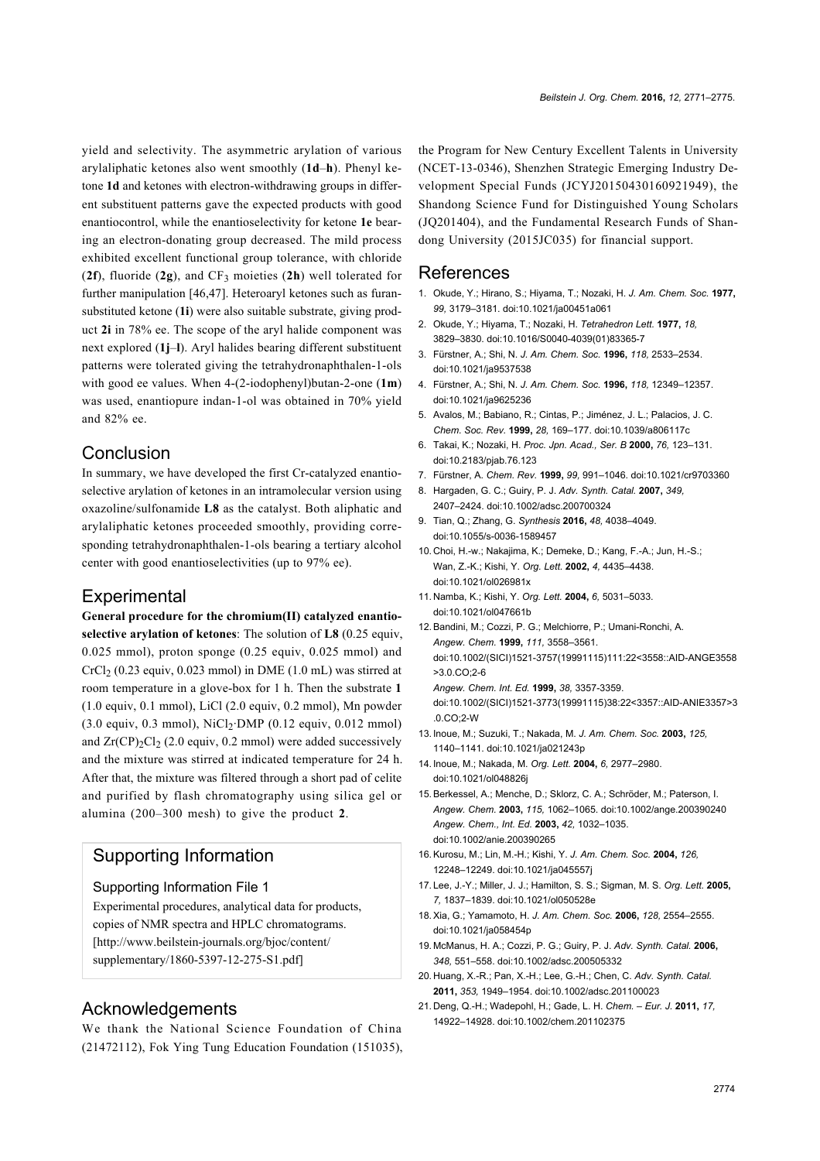yield and selectivity. The asymmetric arylation of various arylaliphatic ketones also went smoothly (**1d**–**h**). Phenyl ketone **1d** and ketones with electron-withdrawing groups in different substituent patterns gave the expected products with good enantiocontrol, while the enantioselectivity for ketone **1e** bearing an electron-donating group decreased. The mild process exhibited excellent functional group tolerance, with chloride (**2f**), fluoride (**2g**), and CF3 moieties (**2h**) well tolerated for further manipulation [\[46,47\].](#page-4-10) Heteroaryl ketones such as furansubstituted ketone (**1i**) were also suitable substrate, giving product **2i** in 78% ee. The scope of the aryl halide component was next explored (**1j**–**l**). Aryl halides bearing different substituent patterns were tolerated giving the tetrahydronaphthalen-1-ols with good ee values. When 4-(2-iodophenyl)butan-2-one (**1m**) was used, enantiopure indan-1-ol was obtained in 70% yield and 82% ee.

## Conclusion

In summary, we have developed the first Cr-catalyzed enantioselective arylation of ketones in an intramolecular version using oxazoline/sulfonamide **L8** as the catalyst. Both aliphatic and arylaliphatic ketones proceeded smoothly, providing corresponding tetrahydronaphthalen-1-ols bearing a tertiary alcohol center with good enantioselectivities (up to 97% ee).

## **Experimental**

**General procedure for the chromium(II) catalyzed enantioselective arylation of ketones**: The solution of **L8** (0.25 equiv, 0.025 mmol), proton sponge (0.25 equiv, 0.025 mmol) and  $CrCl<sub>2</sub>$  (0.23 equiv, 0.023 mmol) in DME (1.0 mL) was stirred at room temperature in a glove-box for 1 h. Then the substrate **1** (1.0 equiv, 0.1 mmol), LiCl (2.0 equiv, 0.2 mmol), Mn powder  $(3.0 \text{ equiv}, 0.3 \text{ mmol})$ , NiCl<sub>2</sub>·DMP  $(0.12 \text{ equiv}, 0.012 \text{ mmol})$ and  $Zr(CP)_{2}Cl_{2}$  (2.0 equiv, 0.2 mmol) were added successively and the mixture was stirred at indicated temperature for 24 h. After that, the mixture was filtered through a short pad of celite and purified by flash chromatography using silica gel or alumina (200–300 mesh) to give the product **2**.

# Supporting Information

#### Supporting Information File 1

Experimental procedures, analytical data for products, copies of NMR spectra and HPLC chromatograms. [\[http://www.beilstein-journals.org/bjoc/content/](http://www.beilstein-journals.org/bjoc/content/supplementary/1860-5397-12-275-S1.pdf) [supplementary/1860-5397-12-275-S1.pdf\]](http://www.beilstein-journals.org/bjoc/content/supplementary/1860-5397-12-275-S1.pdf)

## Acknowledgements

We thank the National Science Foundation of China (21472112), Fok Ying Tung Education Foundation (151035), the Program for New Century Excellent Talents in University (NCET-13-0346), Shenzhen Strategic Emerging Industry Development Special Funds (JCYJ20150430160921949), the Shandong Science Fund for Distinguished Young Scholars (JQ201404), and the Fundamental Research Funds of Shandong University (2015JC035) for financial support.

#### References

- <span id="page-3-0"></span>1. Okude, Y.; Hirano, S.; Hiyama, T.; Nozaki, H. *J. Am. Chem. Soc.* **1977,** *99,* 3179–3181. [doi:10.1021/ja00451a061](https://doi.org/10.1021%2Fja00451a061)
- 2. Okude, Y.; Hiyama, T.; Nozaki, H. *Tetrahedron Lett.* **1977,** *18,* 3829–3830. [doi:10.1016/S0040-4039\(01\)83365-7](https://doi.org/10.1016%2FS0040-4039%2801%2983365-7)
- 3. Fürstner, A.; Shi, N. *J. Am. Chem. Soc.* **1996,** *118,* 2533–2534. [doi:10.1021/ja9537538](https://doi.org/10.1021%2Fja9537538)
- 4. Fürstner, A.; Shi, N. *J. Am. Chem. Soc.* **1996,** *118,* 12349–12357. [doi:10.1021/ja9625236](https://doi.org/10.1021%2Fja9625236)
- 5. Avalos, M.; Babiano, R.; Cintas, P.; Jiménez, J. L.; Palacios, J. C. *Chem. Soc. Rev.* **1999,** *28,* 169–177. [doi:10.1039/a806117c](https://doi.org/10.1039%2Fa806117c)
- 6. Takai, K.; Nozaki, H. *Proc. Jpn. Acad., Ser. B* **2000,** *76,* 123–131. [doi:10.2183/pjab.76.123](https://doi.org/10.2183%2Fpjab.76.123)
- 7. Fürstner, A. *Chem. Rev.* **1999,** *99,* 991–1046. [doi:10.1021/cr9703360](https://doi.org/10.1021%2Fcr9703360)
- 8. Hargaden, G. C.; Guiry, P. J. *Adv. Synth. Catal.* **2007,** *349,* 2407–2424. [doi:10.1002/adsc.200700324](https://doi.org/10.1002%2Fadsc.200700324)
- 9. Tian, Q.; Zhang, G. *Synthesis* **2016,** *48,* 4038–4049. [doi:10.1055/s-0036-1589457](https://doi.org/10.1055%2Fs-0036-1589457)
- <span id="page-3-1"></span>10. Choi, H.-w.; Nakajima, K.; Demeke, D.; Kang, F.-A.; Jun, H.-S.; Wan, Z.-K.; Kishi, Y. *Org. Lett.* **2002,** *4,* 4435–4438. [doi:10.1021/ol026981x](https://doi.org/10.1021%2Fol026981x)
- 11. Namba, K.; Kishi, Y. *Org. Lett.* **2004,** *6,* 5031–5033. [doi:10.1021/ol047661b](https://doi.org/10.1021%2Fol047661b)
- <span id="page-3-2"></span>12.Bandini, M.; Cozzi, P. G.; Melchiorre, P.; Umani-Ronchi, A. *Angew. Chem.* **1999,** *111,* 3558–3561. [doi:10.1002/\(SICI\)1521-3757\(19991115\)111:22<3558::AID-ANGE3558](https://doi.org/10.1002%2F%28SICI%291521-3757%2819991115%29111%3A22%3C3558%3A%3AAID-ANGE3558%3E3.0.CO%3B2-6) [>3.0.CO;2-6](https://doi.org/10.1002%2F%28SICI%291521-3757%2819991115%29111%3A22%3C3558%3A%3AAID-ANGE3558%3E3.0.CO%3B2-6) *Angew. Chem. Int. Ed.* **1999,** *38,* 3357-3359. [doi:10.1002/\(SICI\)1521-3773\(19991115\)38:22<3357::AID-ANIE3357>3](https://doi.org/10.1002%2F%28SICI%291521-3773%2819991115%2938%3A22%3C3357%3A%3AAID-ANIE3357%3E3.0.CO%3B2-W)
- <span id="page-3-3"></span>[.0.CO;2-W](https://doi.org/10.1002%2F%28SICI%291521-3773%2819991115%2938%3A22%3C3357%3A%3AAID-ANIE3357%3E3.0.CO%3B2-W) 13. Inoue, M.; Suzuki, T.; Nakada, M. *J. Am. Chem. Soc.* **2003,** *125,* 1140–1141. [doi:10.1021/ja021243p](https://doi.org/10.1021%2Fja021243p)
- 14. Inoue, M.; Nakada, M. *Org. Lett.* **2004,** *6,* 2977–2980. [doi:10.1021/ol048826j](https://doi.org/10.1021%2Fol048826j)
- <span id="page-3-4"></span>15.Berkessel, A.; Menche, D.; Sklorz, C. A.; Schröder, M.; Paterson, I. *Angew. Chem.* **2003,** *115,* 1062–1065. [doi:10.1002/ange.200390240](https://doi.org/10.1002%2Fange.200390240) *Angew. Chem., Int. Ed.* **2003,** *42,* 1032–1035. [doi:10.1002/anie.200390265](https://doi.org/10.1002%2Fanie.200390265)
- <span id="page-3-5"></span>16.Kurosu, M.; Lin, M.-H.; Kishi, Y. *J. Am. Chem. Soc.* **2004,** *126,* 12248–12249. [doi:10.1021/ja045557j](https://doi.org/10.1021%2Fja045557j)
- <span id="page-3-6"></span>17. Lee, J.-Y.; Miller, J. J.; Hamilton, S. S.; Sigman, M. S. *Org. Lett.* **2005,** *7,* 1837–1839. [doi:10.1021/ol050528e](https://doi.org/10.1021%2Fol050528e)
- <span id="page-3-7"></span>18.Xia, G.; Yamamoto, H. *J. Am. Chem. Soc.* **2006,** *128,* 2554–2555. [doi:10.1021/ja058454p](https://doi.org/10.1021%2Fja058454p)
- <span id="page-3-8"></span>19. McManus, H. A.; Cozzi, P. G.; Guiry, P. J. *Adv. Synth. Catal.* **2006,** *348,* 551–558. [doi:10.1002/adsc.200505332](https://doi.org/10.1002%2Fadsc.200505332)
- <span id="page-3-9"></span>20. Huang, X.-R.; Pan, X.-H.; Lee, G.-H.; Chen, C. *Adv. Synth. Catal.* **2011,** *353,* 1949–1954. [doi:10.1002/adsc.201100023](https://doi.org/10.1002%2Fadsc.201100023)
- <span id="page-3-10"></span>21. Deng, Q.-H.; Wadepohl, H.; Gade, L. H. *Chem. – Eur. J.* **2011,** *17,* 14922–14928. [doi:10.1002/chem.201102375](https://doi.org/10.1002%2Fchem.201102375)